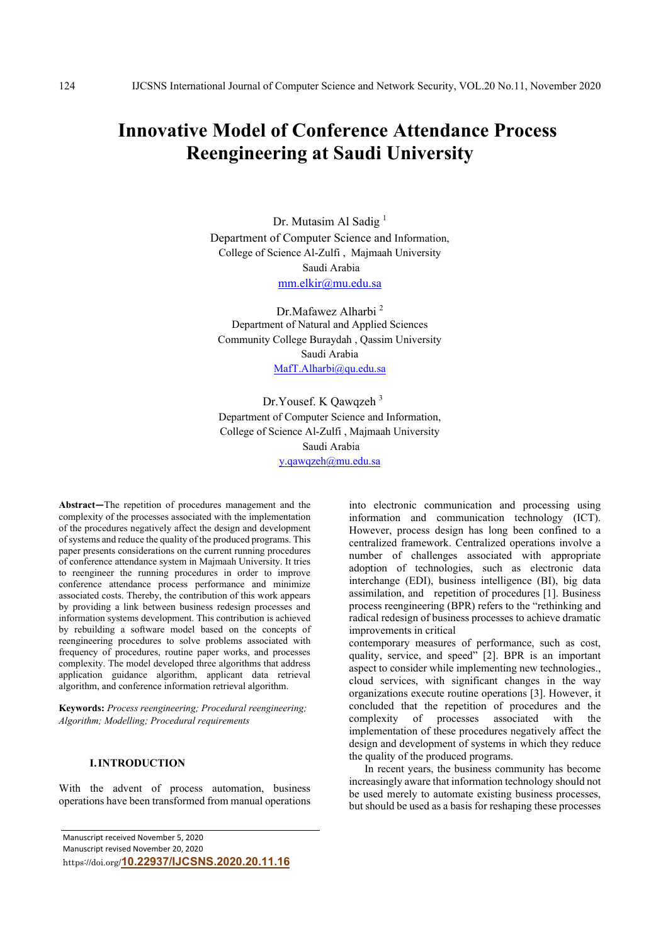# **Innovative Model of Conference Attendance Process Reengineering at Saudi University**

Dr. Mutasim Al Sadig<sup>1</sup> Department of Computer Science and Information, College of Science Al-Zulfi , Majmaah University Saudi Arabia mm.elkir@mu.edu.sa

Dr.Mafawez Alharbi <sup>2</sup> Department of Natural and Applied Sciences Community College Buraydah , Qassim University Saudi Arabia MafT.Alharbi@qu.edu.sa

 Dr.Yousef. K Qawqzeh 3 Department of Computer Science and Information, College of Science Al-Zulfi , Majmaah University Saudi Arabia y.qawqzeh@mu.edu.sa

**Abstract—**The repetition of procedures management and the complexity of the processes associated with the implementation of the procedures negatively affect the design and development of systems and reduce the quality of the produced programs. This paper presents considerations on the current running procedures of conference attendance system in Majmaah University. It tries to reengineer the running procedures in order to improve conference attendance process performance and minimize associated costs. Thereby, the contribution of this work appears by providing a link between business redesign processes and information systems development. This contribution is achieved by rebuilding a software model based on the concepts of reengineering procedures to solve problems associated with frequency of procedures, routine paper works, and processes complexity. The model developed three algorithms that address application guidance algorithm, applicant data retrieval algorithm, and conference information retrieval algorithm.

**Keywords:** *Process reengineering; Procedural reengineering; Algorithm; Modelling; Procedural requirements* 

## **I.INTRODUCTION**

With the advent of process automation, business operations have been transformed from manual operations

Manuscript received November 5, 2020 Manuscript revised November 20, 2020 https://doi.org/**10.22937/IJCSNS.2020.20.11.16** into electronic communication and processing using information and communication technology (ICT). However, process design has long been confined to a centralized framework. Centralized operations involve a number of challenges associated with appropriate adoption of technologies, such as electronic data interchange (EDI), business intelligence (BI), big data assimilation, and repetition of procedures [1]. Business process reengineering (BPR) refers to the "rethinking and radical redesign of business processes to achieve dramatic improvements in critical

contemporary measures of performance, such as cost, quality, service, and speed" [2]. BPR is an important aspect to consider while implementing new technologies., cloud services, with significant changes in the way organizations execute routine operations [3]. However, it concluded that the repetition of procedures and the complexity of processes associated with the of processes associated with the implementation of these procedures negatively affect the design and development of systems in which they reduce the quality of the produced programs.

In recent years, the business community has become increasingly aware that information technology should not be used merely to automate existing business processes, but should be used as a basis for reshaping these processes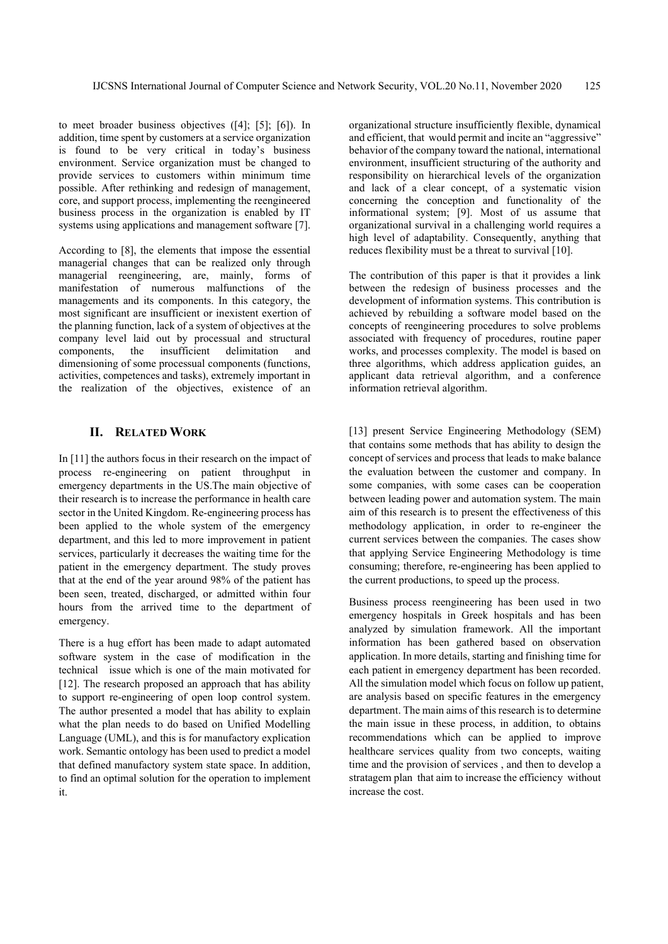to meet broader business objectives ([4]; [5]; [6]). In addition, time spent by customers at a service organization is found to be very critical in today's business environment. Service organization must be changed to provide services to customers within minimum time possible. After rethinking and redesign of management, core, and support process, implementing the reengineered business process in the organization is enabled by IT systems using applications and management software [7].

According to [8], the elements that impose the essential managerial changes that can be realized only through managerial reengineering, are, mainly, forms of manifestation of numerous malfunctions of the managements and its components. In this category, the most significant are insufficient or inexistent exertion of the planning function, lack of a system of objectives at the company level laid out by processual and structural components, the insufficient delimitation and dimensioning of some processual components (functions, activities, competences and tasks), extremely important in the realization of the objectives, existence of an

## **II. RELATED WORK**

In [11] the authors focus in their research on the impact of process re-engineering on patient throughput in emergency departments in the US.The main objective of their research is to increase the performance in health care sector in the United Kingdom. Re-engineering process has been applied to the whole system of the emergency department, and this led to more improvement in patient services, particularly it decreases the waiting time for the patient in the emergency department. The study proves that at the end of the year around 98% of the patient has been seen, treated, discharged, or admitted within four hours from the arrived time to the department of emergency.

There is a hug effort has been made to adapt automated software system in the case of modification in the technical issue which is one of the main motivated for [12]. The research proposed an approach that has ability to support re-engineering of open loop control system. The author presented a model that has ability to explain what the plan needs to do based on Unified Modelling Language (UML), and this is for manufactory explication work. Semantic ontology has been used to predict a model that defined manufactory system state space. In addition, to find an optimal solution for the operation to implement it.

organizational structure insufficiently flexible, dynamical and efficient, that would permit and incite an "aggressive" behavior of the company toward the national, international environment, insufficient structuring of the authority and responsibility on hierarchical levels of the organization and lack of a clear concept, of a systematic vision concerning the conception and functionality of the informational system; [9]. Most of us assume that organizational survival in a challenging world requires a high level of adaptability. Consequently, anything that reduces flexibility must be a threat to survival [10].

The contribution of this paper is that it provides a link between the redesign of business processes and the development of information systems. This contribution is achieved by rebuilding a software model based on the concepts of reengineering procedures to solve problems associated with frequency of procedures, routine paper works, and processes complexity. The model is based on three algorithms, which address application guides, an applicant data retrieval algorithm, and a conference information retrieval algorithm.

[13] present Service Engineering Methodology (SEM) that contains some methods that has ability to design the concept of services and process that leads to make balance the evaluation between the customer and company. In some companies, with some cases can be cooperation between leading power and automation system. The main aim of this research is to present the effectiveness of this methodology application, in order to re-engineer the current services between the companies. The cases show that applying Service Engineering Methodology is time consuming; therefore, re-engineering has been applied to the current productions, to speed up the process.

Business process reengineering has been used in two emergency hospitals in Greek hospitals and has been analyzed by simulation framework. All the important information has been gathered based on observation application. In more details, starting and finishing time for each patient in emergency department has been recorded. All the simulation model which focus on follow up patient, are analysis based on specific features in the emergency department. The main aims of this research is to determine the main issue in these process, in addition, to obtains recommendations which can be applied to improve healthcare services quality from two concepts, waiting time and the provision of services , and then to develop a stratagem plan that aim to increase the efficiency without increase the cost.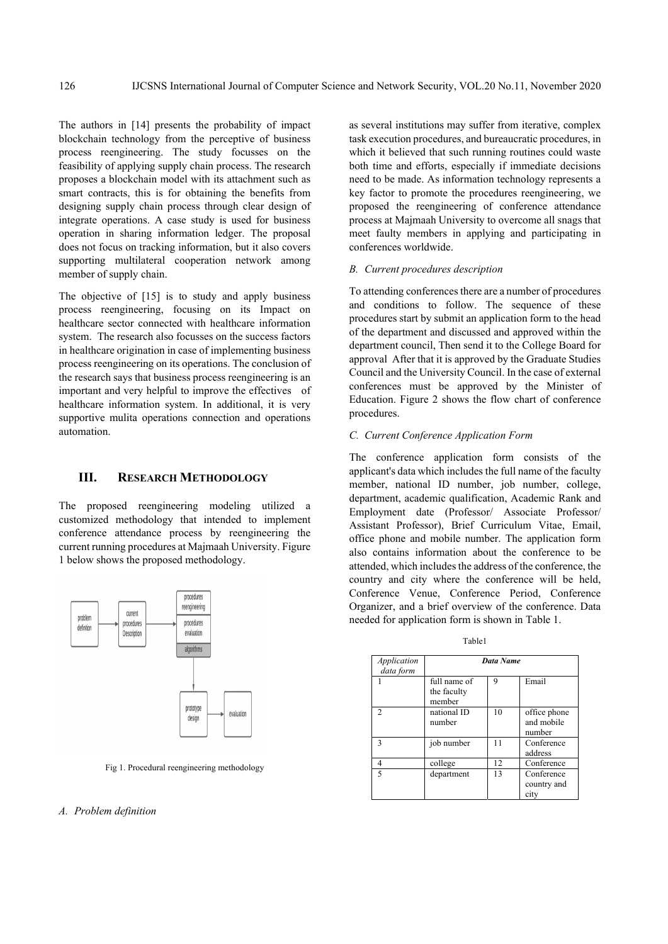The authors in [14] presents the probability of impact blockchain technology from the perceptive of business process reengineering. The study focusses on the feasibility of applying supply chain process. The research proposes a blockchain model with its attachment such as smart contracts, this is for obtaining the benefits from designing supply chain process through clear design of integrate operations. A case study is used for business operation in sharing information ledger. The proposal does not focus on tracking information, but it also covers supporting multilateral cooperation network among member of supply chain.

The objective of [15] is to study and apply business process reengineering, focusing on its Impact on healthcare sector connected with healthcare information system. The research also focusses on the success factors in healthcare origination in case of implementing business process reengineering on its operations. The conclusion of the research says that business process reengineering is an important and very helpful to improve the effectives of healthcare information system. In additional, it is very supportive mulita operations connection and operations automation.

## **III. RESEARCH METHODOLOGY**

The proposed reengineering modeling utilized a customized methodology that intended to implement conference attendance process by reengineering the current running procedures at Majmaah University. Figure 1 below shows the proposed methodology.



Fig 1. Procedural reengineering methodology

#### *A. Problem definition*

as several institutions may suffer from iterative, complex task execution procedures, and bureaucratic procedures, in which it believed that such running routines could waste both time and efforts, especially if immediate decisions need to be made. As information technology represents a key factor to promote the procedures reengineering, we proposed the reengineering of conference attendance process at Majmaah University to overcome all snags that meet faulty members in applying and participating in conferences worldwide.

### *B. Current procedures description*

To attending conferences there are a number of procedures and conditions to follow. The sequence of these procedures start by submit an application form to the head of the department and discussed and approved within the department council, Then send it to the College Board for approval After that it is approved by the Graduate Studies Council and the University Council. In the case of external conferences must be approved by the Minister of Education. Figure 2 shows the flow chart of conference procedures.

## *C. Current Conference Application Form*

The conference application form consists of the applicant's data which includes the full name of the faculty member, national ID number, job number, college, department, academic qualification, Academic Rank and Employment date (Professor/ Associate Professor/ Assistant Professor), Brief Curriculum Vitae, Email, office phone and mobile number. The application form also contains information about the conference to be attended, which includes the address of the conference, the country and city where the conference will be held, Conference Venue, Conference Period, Conference Organizer, and a brief overview of the conference. Data needed for application form is shown in Table 1.

| Application<br>data form |                                       | Data Name |                                      |
|--------------------------|---------------------------------------|-----------|--------------------------------------|
|                          | full name of<br>the faculty<br>member | 9         | Email                                |
| $\overline{c}$           | national ID<br>number                 | 10        | office phone<br>and mobile<br>number |
| ٩                        | job number                            | 11        | Conference<br>address                |
| 4                        | college                               | 12        | Conference                           |
| $\overline{\phantom{0}}$ | department                            | 13        | Conference<br>country and<br>city    |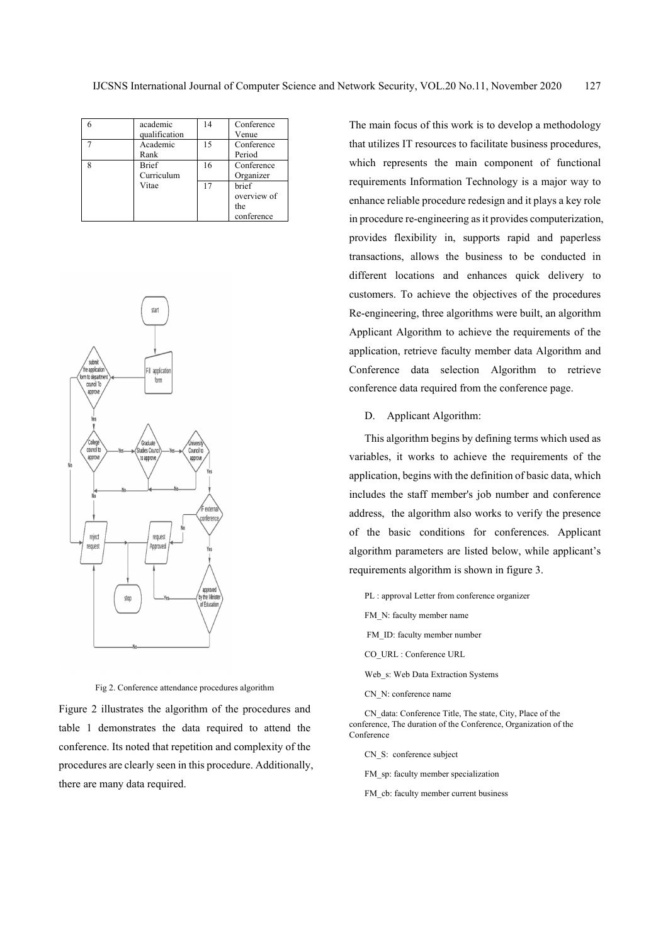| academic      | 14 | Conference  |
|---------------|----|-------------|
| qualification |    | Venue       |
| Academic      | 15 | Conference  |
| Rank          |    | Period      |
| <b>Brief</b>  | 16 | Conference  |
| Curriculum    |    | Organizer   |
| Vitae         | 17 | brief       |
|               |    | overview of |
|               |    | the         |
|               |    | conference  |



Fig 2. Conference attendance procedures algorithm

Figure 2 illustrates the algorithm of the procedures and table 1 demonstrates the data required to attend the conference. Its noted that repetition and complexity of the procedures are clearly seen in this procedure. Additionally, there are many data required.

The main focus of this work is to develop a methodology that utilizes IT resources to facilitate business procedures, which represents the main component of functional requirements Information Technology is a major way to enhance reliable procedure redesign and it plays a key role in procedure re-engineering as it provides computerization, provides flexibility in, supports rapid and paperless transactions, allows the business to be conducted in different locations and enhances quick delivery to customers. To achieve the objectives of the procedures Re-engineering, three algorithms were built, an algorithm Applicant Algorithm to achieve the requirements of the application, retrieve faculty member data Algorithm and Conference data selection Algorithm to retrieve conference data required from the conference page.

D. Applicant Algorithm:

This algorithm begins by defining terms which used as variables, it works to achieve the requirements of the application, begins with the definition of basic data, which includes the staff member's job number and conference address, the algorithm also works to verify the presence of the basic conditions for conferences. Applicant algorithm parameters are listed below, while applicant's requirements algorithm is shown in figure 3.

- PL : approval Letter from conference organizer
- FM\_N: faculty member name
- FM ID: faculty member number
- CO\_URL : Conference URL
- Web\_s: Web Data Extraction Systems
- CN\_N: conference name

CN\_data: Conference Title, The state, City, Place of the conference, The duration of the Conference, Organization of the Conference

CN\_S: conference subject

FM sp: faculty member specialization

FM cb: faculty member current business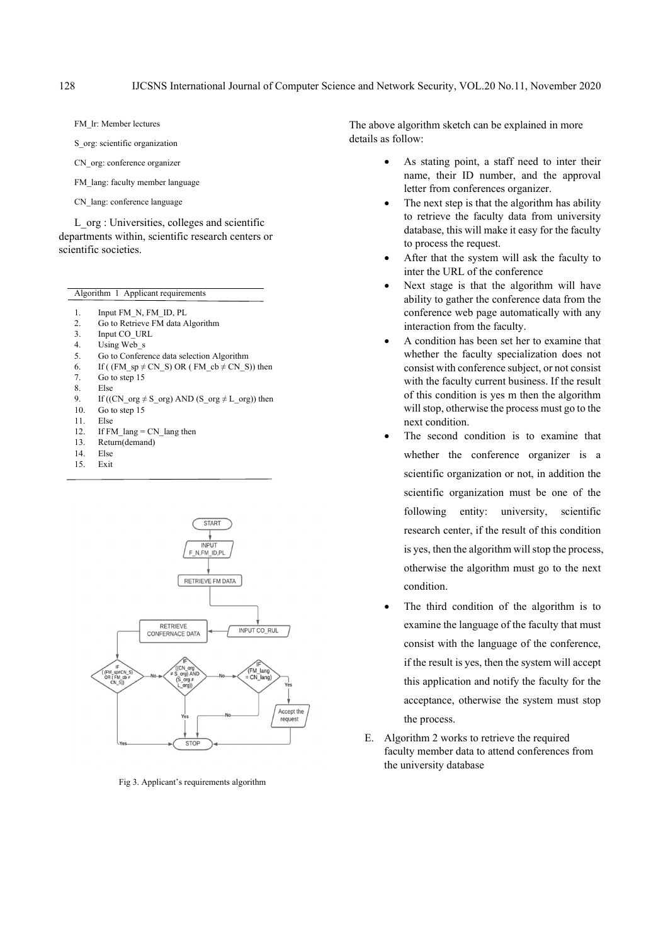FM\_lr: Member lectures

S org: scientific organization

CN org: conference organizer

- FM lang: faculty member language
- CN\_lang: conference language

L org : Universities, colleges and scientific departments within, scientific research centers or scientific societies.

| Algorithm 1 Applicant requirements |                                                          |  |  |
|------------------------------------|----------------------------------------------------------|--|--|
|                                    |                                                          |  |  |
| 1.                                 | Input FM N, FM ID, PL                                    |  |  |
| 2.                                 | Go to Retrieve FM data Algorithm                         |  |  |
| 3.                                 | Input CO URL                                             |  |  |
| 4.                                 | Using Web s                                              |  |  |
| 5.                                 | Go to Conference data selection Algorithm                |  |  |
| 6.                                 | If ((FM sp $\neq$ CN S) OR (FM cb $\neq$ CN S)) then     |  |  |
| 7.                                 | Go to step 15                                            |  |  |
| 8.                                 | Else                                                     |  |  |
| 9.                                 | If ((CN org $\neq$ S org) AND (S org $\neq$ L org)) then |  |  |
| 10.                                | Go to step 15                                            |  |  |
| 11.                                | Else                                                     |  |  |
| 12.                                | If FM $lang = CN$ lang then                              |  |  |
| 13.                                | Return(demand)                                           |  |  |
| 14.                                | Else                                                     |  |  |
|                                    |                                                          |  |  |

15. Exit



Fig 3. Applicant's requirements algorithm

The above algorithm sketch can be explained in more details as follow:

- As stating point, a staff need to inter their name, their ID number, and the approval letter from conferences organizer.
- The next step is that the algorithm has ability to retrieve the faculty data from university database, this will make it easy for the faculty to process the request.
- After that the system will ask the faculty to inter the URL of the conference
- Next stage is that the algorithm will have ability to gather the conference data from the conference web page automatically with any interaction from the faculty.
- A condition has been set her to examine that whether the faculty specialization does not consist with conference subject, or not consist with the faculty current business. If the result of this condition is yes m then the algorithm will stop, otherwise the process must go to the next condition.
- The second condition is to examine that whether the conference organizer is a scientific organization or not, in addition the scientific organization must be one of the following entity: university, scientific research center, if the result of this condition is yes, then the algorithm will stop the process, otherwise the algorithm must go to the next condition.
- The third condition of the algorithm is to examine the language of the faculty that must consist with the language of the conference, if the result is yes, then the system will accept this application and notify the faculty for the acceptance, otherwise the system must stop the process.
- E. Algorithm 2 works to retrieve the required faculty member data to attend conferences from the university database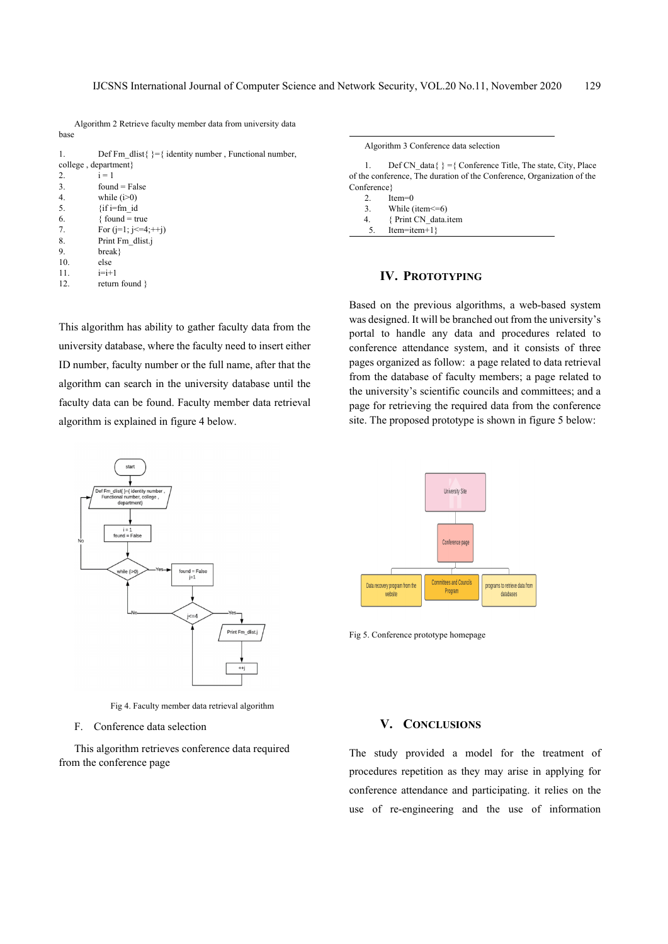Algorithm 2 Retrieve faculty member data from university data base

| 1.                  | Def Fm dlist{ $\}=\{$ identity number, Functional number, |  |  |  |
|---------------------|-----------------------------------------------------------|--|--|--|
| college, department |                                                           |  |  |  |
| 2.                  | $i = 1$                                                   |  |  |  |
| 3.                  | $found = False$                                           |  |  |  |
| 4.                  | while $(i>0)$                                             |  |  |  |
| 5.                  | $\{$ if i=fm id                                           |  |  |  |
| 6.                  | $\{$ found = true                                         |  |  |  |
| 7.                  | For $(i=1; i \leq 4;++i)$                                 |  |  |  |
| 8.                  | Print Fm dlist.j                                          |  |  |  |
| 9.                  | break}                                                    |  |  |  |
| 10.                 | else                                                      |  |  |  |
| 11.                 | $i=i+1$                                                   |  |  |  |

12. return found }

start

 $i = 1$ <br>found = Fals

while (i>0)

This algorithm has ability to gather faculty data from the university database, where the faculty need to insert either ID number, faculty number or the full name, after that the algorithm can search in the university database until the faculty data can be found. Faculty member data retrieval algorithm is explained in figure 4 below.



1. Def CN\_data{  $} =$ { Conference Title, The state, City, Place of the conference, The duration of the Conference, Organization of the Conference}

- 2. Item=0
- 3. While (item<=6)
- 4. { Print CN\_data.item
- 5. Item=item+1}

## **IV. PROTOTYPING**

Based on the previous algorithms, a web-based system was designed. It will be branched out from the university's portal to handle any data and procedures related to conference attendance system, and it consists of three pages organized as follow: a page related to data retrieval from the database of faculty members; a page related to the university's scientific councils and committees; and a page for retrieving the required data from the conference site. The proposed prototype is shown in figure 5 below:



Fig 5. Conference prototype homepage



Print Fm\_dlist.j

 $found = False$ 

F. Conference data selection

This algorithm retrieves conference data required from the conference page

## **V. CONCLUSIONS**

The study provided a model for the treatment of procedures repetition as they may arise in applying for conference attendance and participating. it relies on the use of re-engineering and the use of information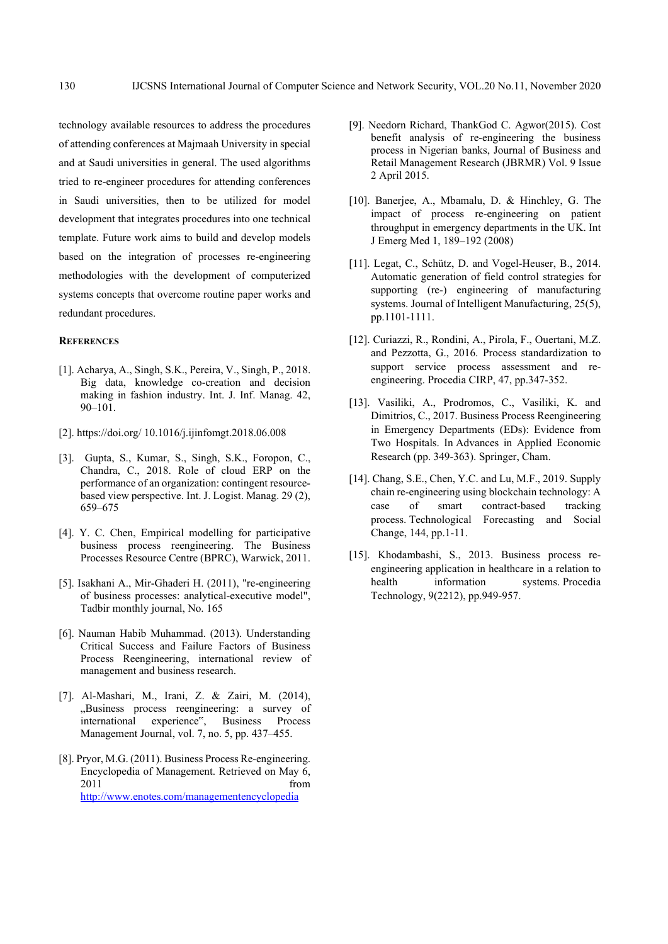technology available resources to address the procedures of attending conferences at Majmaah University in special and at Saudi universities in general. The used algorithms tried to re-engineer procedures for attending conferences in Saudi universities, then to be utilized for model development that integrates procedures into one technical template. Future work aims to build and develop models based on the integration of processes re-engineering methodologies with the development of computerized systems concepts that overcome routine paper works and redundant procedures.

## **REFERENCES**

- [1]. Acharya, A., Singh, S.K., Pereira, V., Singh, P., 2018. Big data, knowledge co-creation and decision making in fashion industry. Int. J. Inf. Manag. 42, 90–101.
- [2]. https://doi.org/ 10.1016/j.ijinfomgt.2018.06.008
- [3]. Gupta, S., Kumar, S., Singh, S.K., Foropon, C., Chandra, C., 2018. Role of cloud ERP on the performance of an organization: contingent resourcebased view perspective. Int. J. Logist. Manag. 29 (2), 659–675
- [4]. Y. C. Chen, Empirical modelling for participative business process reengineering. The Business Processes Resource Centre (BPRC), Warwick, 2011.
- [5]. Isakhani A., Mir-Ghaderi H. (2011), "re-engineering of business processes: analytical-executive model", Tadbir monthly journal, No. 165
- [6]. Nauman Habib Muhammad. (2013). Understanding Critical Success and Failure Factors of Business Process Reengineering, international review of management and business research.
- [7]. Al-Mashari, M., Irani, Z. & Zairi, M. (2014), "Business process reengineering: a survey of international experience", Business Process Management Journal, vol. 7, no. 5, pp. 437–455.
- [8]. Pryor, M.G. (2011). Business Process Re-engineering. Encyclopedia of Management. Retrieved on May 6, 2011 from the state of  $\sim$ http://www.enotes.com/managementencyclopedia
- [9]. Needorn Richard, ThankGod C. Agwor(2015). Cost benefit analysis of re-engineering the business process in Nigerian banks, Journal of Business and Retail Management Research (JBRMR) Vol. 9 Issue 2 April 2015.
- [10]. Banerjee, A., Mbamalu, D. & Hinchley, G. The impact of process re-engineering on patient throughput in emergency departments in the UK. Int J Emerg Med 1, 189–192 (2008)
- [11]. Legat, C., Schütz, D. and Vogel-Heuser, B., 2014. Automatic generation of field control strategies for supporting (re-) engineering of manufacturing systems. Journal of Intelligent Manufacturing, 25(5), pp.1101-1111.
- [12]. Curiazzi, R., Rondini, A., Pirola, F., Ouertani, M.Z. and Pezzotta, G., 2016. Process standardization to support service process assessment and reengineering. Procedia CIRP, 47, pp.347-352.
- [13]. Vasiliki, A., Prodromos, C., Vasiliki, K. and Dimitrios, C., 2017. Business Process Reengineering in Emergency Departments (EDs): Evidence from Two Hospitals. In Advances in Applied Economic Research (pp. 349-363). Springer, Cham.
- [14]. Chang, S.E., Chen, Y.C. and Lu, M.F., 2019. Supply chain re-engineering using blockchain technology: A case of smart contract-based tracking process. Technological Forecasting and Social Change, 144, pp.1-11.
- [15]. Khodambashi, S., 2013. Business process reengineering application in healthcare in a relation to health information systems. Procedia Technology, 9(2212), pp.949-957.